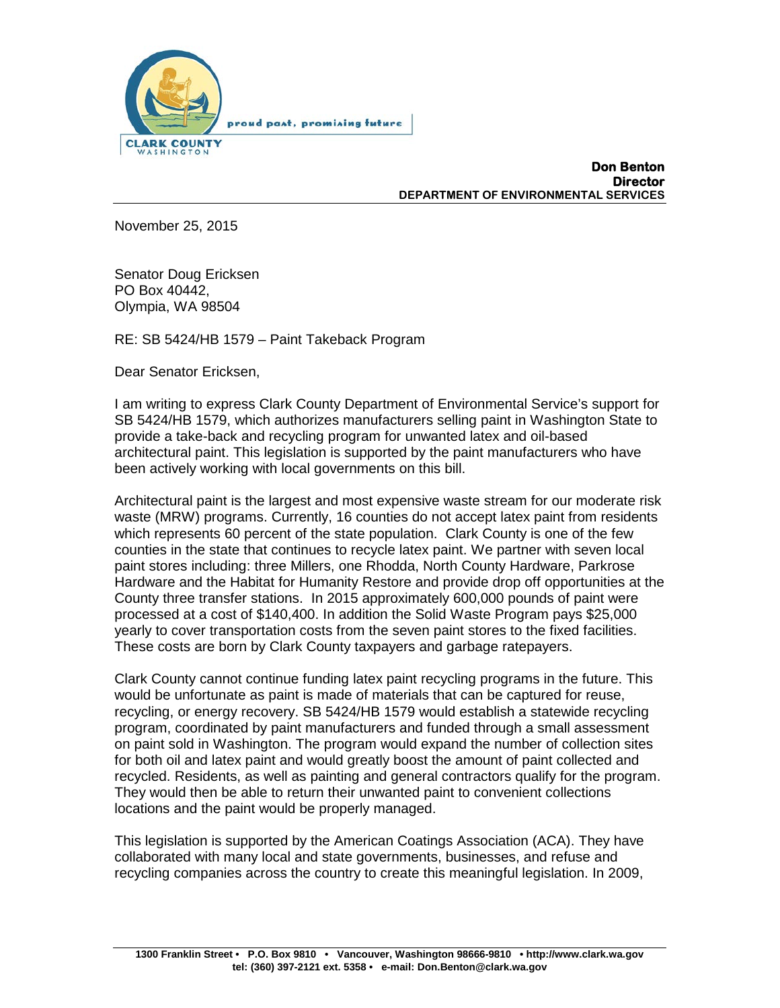

**Don Benton Director DEPARTMENT OF ENVIRONMENTAL SERVICES**

November 25, 2015

Senator Doug Ericksen PO Box 40442, Olympia, WA 98504

RE: SB 5424/HB 1579 – Paint Takeback Program

Dear Senator Ericksen,

I am writing to express Clark County Department of Environmental Service's support for SB 5424/HB 1579, which authorizes manufacturers selling paint in Washington State to provide a take-back and recycling program for unwanted latex and oil-based architectural paint. This legislation is supported by the paint manufacturers who have been actively working with local governments on this bill.

Architectural paint is the largest and most expensive waste stream for our moderate risk waste (MRW) programs. Currently, 16 counties do not accept latex paint from residents which represents 60 percent of the state population. Clark County is one of the few counties in the state that continues to recycle latex paint. We partner with seven local paint stores including: three Millers, one Rhodda, North County Hardware, Parkrose Hardware and the Habitat for Humanity Restore and provide drop off opportunities at the County three transfer stations. In 2015 approximately 600,000 pounds of paint were processed at a cost of \$140,400. In addition the Solid Waste Program pays \$25,000 yearly to cover transportation costs from the seven paint stores to the fixed facilities. These costs are born by Clark County taxpayers and garbage ratepayers.

Clark County cannot continue funding latex paint recycling programs in the future. This would be unfortunate as paint is made of materials that can be captured for reuse, recycling, or energy recovery. SB 5424/HB 1579 would establish a statewide recycling program, coordinated by paint manufacturers and funded through a small assessment on paint sold in Washington. The program would expand the number of collection sites for both oil and latex paint and would greatly boost the amount of paint collected and recycled. Residents, as well as painting and general contractors qualify for the program. They would then be able to return their unwanted paint to convenient collections locations and the paint would be properly managed.

This legislation is supported by the American Coatings Association (ACA). They have collaborated with many local and state governments, businesses, and refuse and recycling companies across the country to create this meaningful legislation. In 2009,